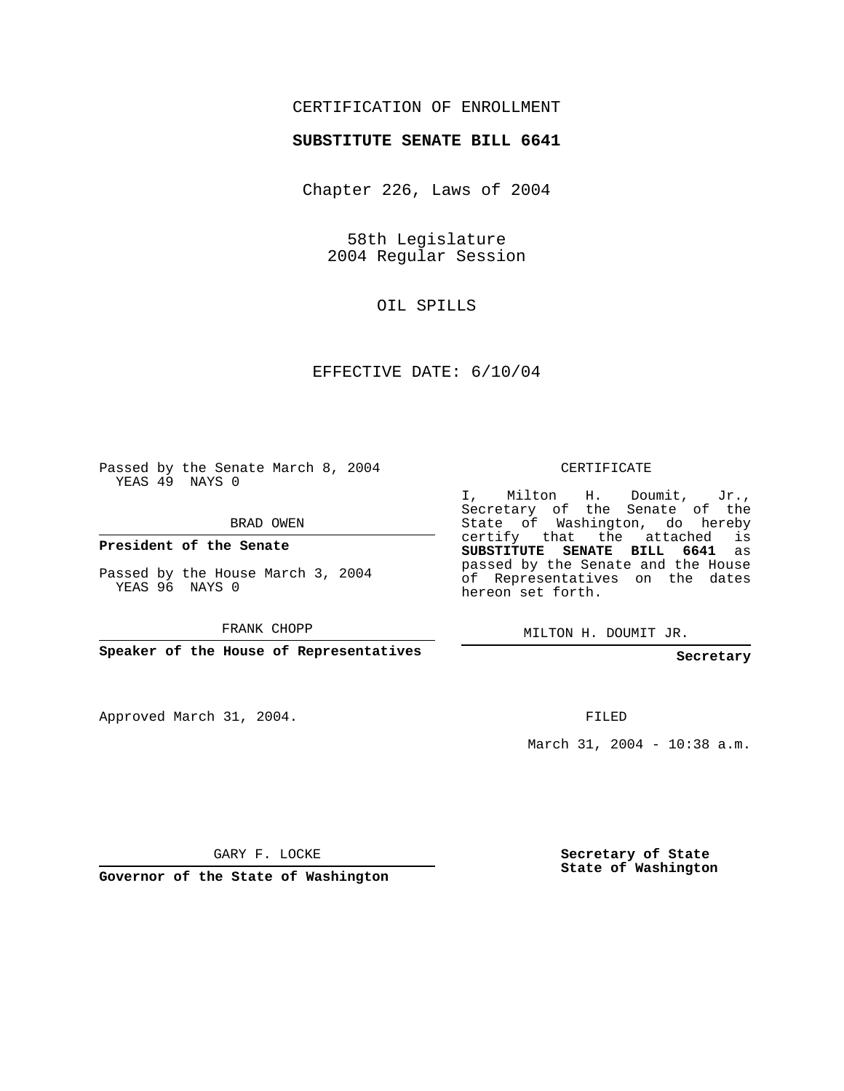# CERTIFICATION OF ENROLLMENT

#### **SUBSTITUTE SENATE BILL 6641**

Chapter 226, Laws of 2004

58th Legislature 2004 Regular Session

OIL SPILLS

EFFECTIVE DATE: 6/10/04

Passed by the Senate March 8, 2004 YEAS 49 NAYS 0

BRAD OWEN

**President of the Senate**

Passed by the House March 3, 2004 YEAS 96 NAYS 0

FRANK CHOPP

**Speaker of the House of Representatives**

Approved March 31, 2004.

CERTIFICATE

I, Milton H. Doumit, Jr., Secretary of the Senate of the State of Washington, do hereby certify that the attached is **SUBSTITUTE SENATE BILL 6641** as passed by the Senate and the House of Representatives on the dates hereon set forth.

MILTON H. DOUMIT JR.

**Secretary**

FILED

March 31, 2004 - 10:38 a.m.

GARY F. LOCKE

**Governor of the State of Washington**

**Secretary of State State of Washington**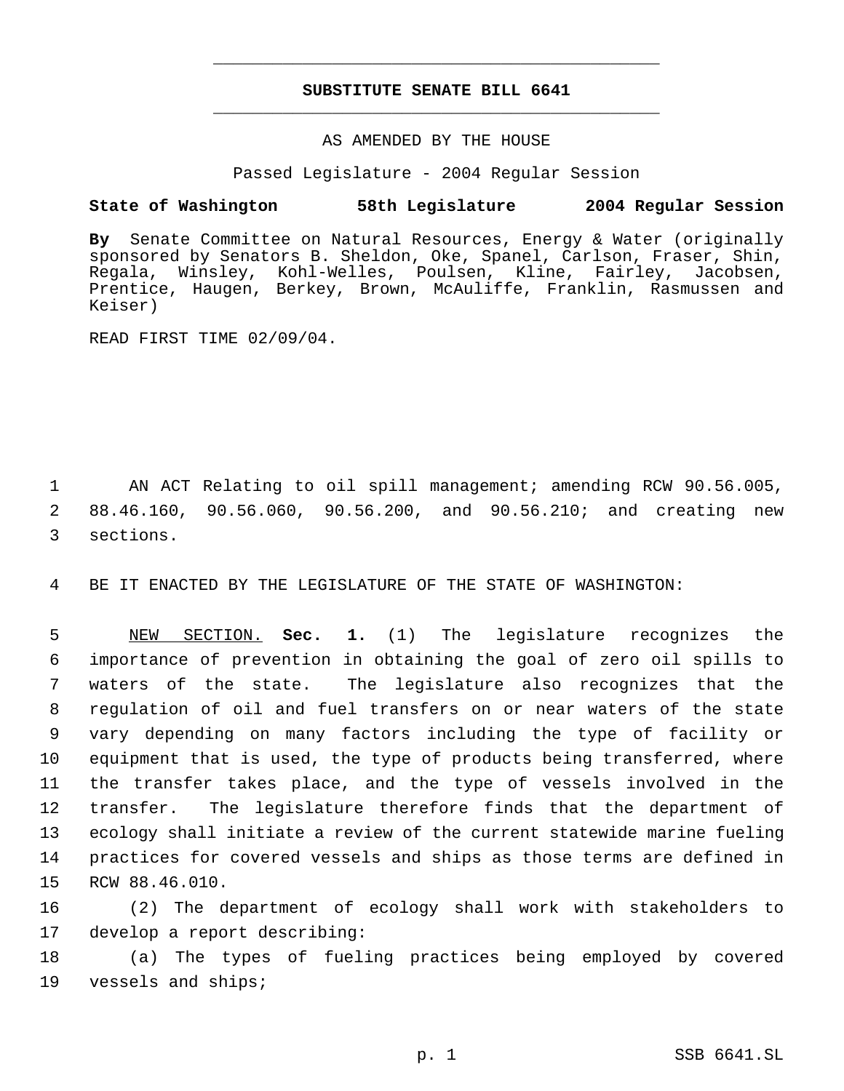# **SUBSTITUTE SENATE BILL 6641** \_\_\_\_\_\_\_\_\_\_\_\_\_\_\_\_\_\_\_\_\_\_\_\_\_\_\_\_\_\_\_\_\_\_\_\_\_\_\_\_\_\_\_\_\_

\_\_\_\_\_\_\_\_\_\_\_\_\_\_\_\_\_\_\_\_\_\_\_\_\_\_\_\_\_\_\_\_\_\_\_\_\_\_\_\_\_\_\_\_\_

#### AS AMENDED BY THE HOUSE

Passed Legislature - 2004 Regular Session

### **State of Washington 58th Legislature 2004 Regular Session**

**By** Senate Committee on Natural Resources, Energy & Water (originally sponsored by Senators B. Sheldon, Oke, Spanel, Carlson, Fraser, Shin, Regala, Winsley, Kohl-Welles, Poulsen, Kline, Fairley, Jacobsen, Prentice, Haugen, Berkey, Brown, McAuliffe, Franklin, Rasmussen and Keiser)

READ FIRST TIME 02/09/04.

 1 AN ACT Relating to oil spill management; amending RCW 90.56.005, 2 88.46.160, 90.56.060, 90.56.200, and 90.56.210; and creating new 3 sections.

4 BE IT ENACTED BY THE LEGISLATURE OF THE STATE OF WASHINGTON:

 NEW SECTION. **Sec. 1.** (1) The legislature recognizes the importance of prevention in obtaining the goal of zero oil spills to waters of the state. The legislature also recognizes that the regulation of oil and fuel transfers on or near waters of the state vary depending on many factors including the type of facility or equipment that is used, the type of products being transferred, where the transfer takes place, and the type of vessels involved in the transfer. The legislature therefore finds that the department of ecology shall initiate a review of the current statewide marine fueling practices for covered vessels and ships as those terms are defined in RCW 88.46.010.

16 (2) The department of ecology shall work with stakeholders to 17 develop a report describing:

18 (a) The types of fueling practices being employed by covered 19 vessels and ships;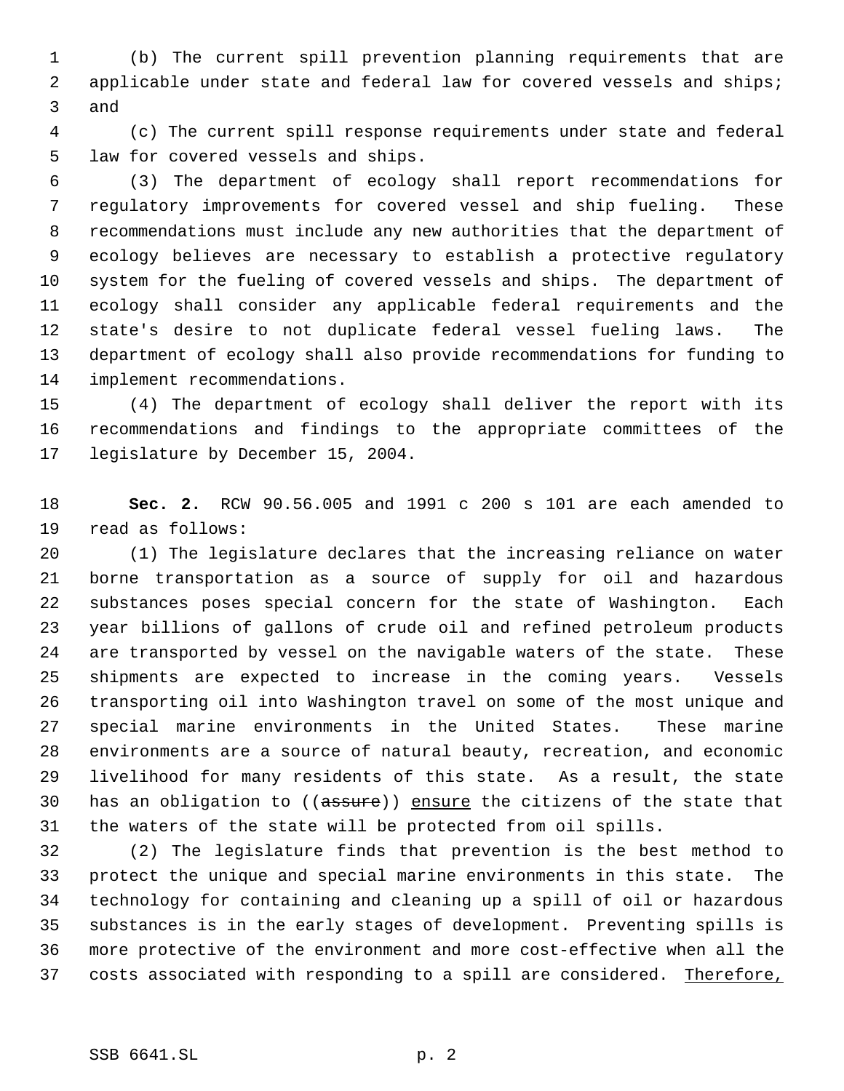(b) The current spill prevention planning requirements that are applicable under state and federal law for covered vessels and ships; and

 (c) The current spill response requirements under state and federal law for covered vessels and ships.

 (3) The department of ecology shall report recommendations for regulatory improvements for covered vessel and ship fueling. These recommendations must include any new authorities that the department of ecology believes are necessary to establish a protective regulatory system for the fueling of covered vessels and ships. The department of ecology shall consider any applicable federal requirements and the state's desire to not duplicate federal vessel fueling laws. The department of ecology shall also provide recommendations for funding to implement recommendations.

 (4) The department of ecology shall deliver the report with its recommendations and findings to the appropriate committees of the legislature by December 15, 2004.

 **Sec. 2.** RCW 90.56.005 and 1991 c 200 s 101 are each amended to read as follows:

 (1) The legislature declares that the increasing reliance on water borne transportation as a source of supply for oil and hazardous substances poses special concern for the state of Washington. Each year billions of gallons of crude oil and refined petroleum products are transported by vessel on the navigable waters of the state. These shipments are expected to increase in the coming years. Vessels transporting oil into Washington travel on some of the most unique and special marine environments in the United States. These marine environments are a source of natural beauty, recreation, and economic livelihood for many residents of this state. As a result, the state 30 has an obligation to ((assure)) ensure the citizens of the state that the waters of the state will be protected from oil spills.

 (2) The legislature finds that prevention is the best method to protect the unique and special marine environments in this state. The technology for containing and cleaning up a spill of oil or hazardous substances is in the early stages of development. Preventing spills is more protective of the environment and more cost-effective when all the 37 costs associated with responding to a spill are considered. Therefore,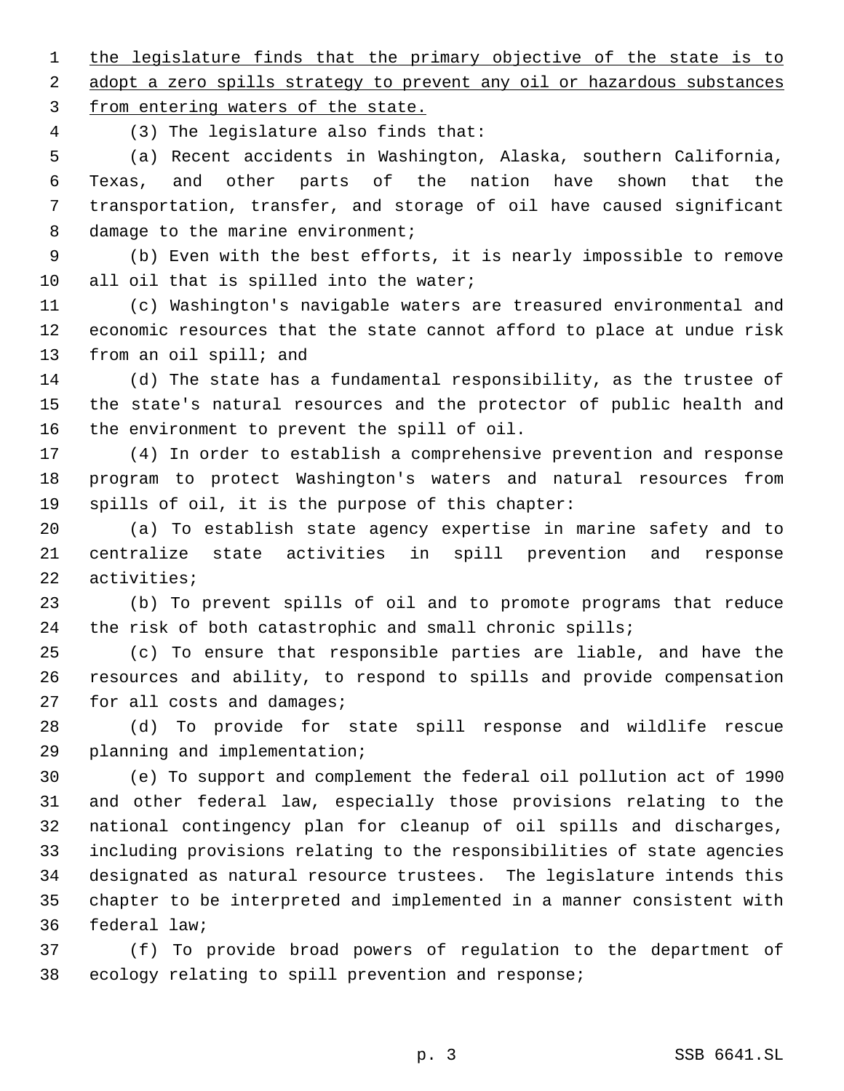1 the legislature finds that the primary objective of the state is to 2 adopt a zero spills strategy to prevent any oil or hazardous substances from entering waters of the state.

(3) The legislature also finds that:

 (a) Recent accidents in Washington, Alaska, southern California, Texas, and other parts of the nation have shown that the transportation, transfer, and storage of oil have caused significant 8 damage to the marine environment;

 (b) Even with the best efforts, it is nearly impossible to remove 10 all oil that is spilled into the water;

 (c) Washington's navigable waters are treasured environmental and economic resources that the state cannot afford to place at undue risk from an oil spill; and

 (d) The state has a fundamental responsibility, as the trustee of the state's natural resources and the protector of public health and the environment to prevent the spill of oil.

 (4) In order to establish a comprehensive prevention and response program to protect Washington's waters and natural resources from spills of oil, it is the purpose of this chapter:

 (a) To establish state agency expertise in marine safety and to centralize state activities in spill prevention and response activities;

 (b) To prevent spills of oil and to promote programs that reduce the risk of both catastrophic and small chronic spills;

 (c) To ensure that responsible parties are liable, and have the resources and ability, to respond to spills and provide compensation for all costs and damages;

 (d) To provide for state spill response and wildlife rescue planning and implementation;

 (e) To support and complement the federal oil pollution act of 1990 and other federal law, especially those provisions relating to the national contingency plan for cleanup of oil spills and discharges, including provisions relating to the responsibilities of state agencies designated as natural resource trustees. The legislature intends this chapter to be interpreted and implemented in a manner consistent with federal law;

 (f) To provide broad powers of regulation to the department of ecology relating to spill prevention and response;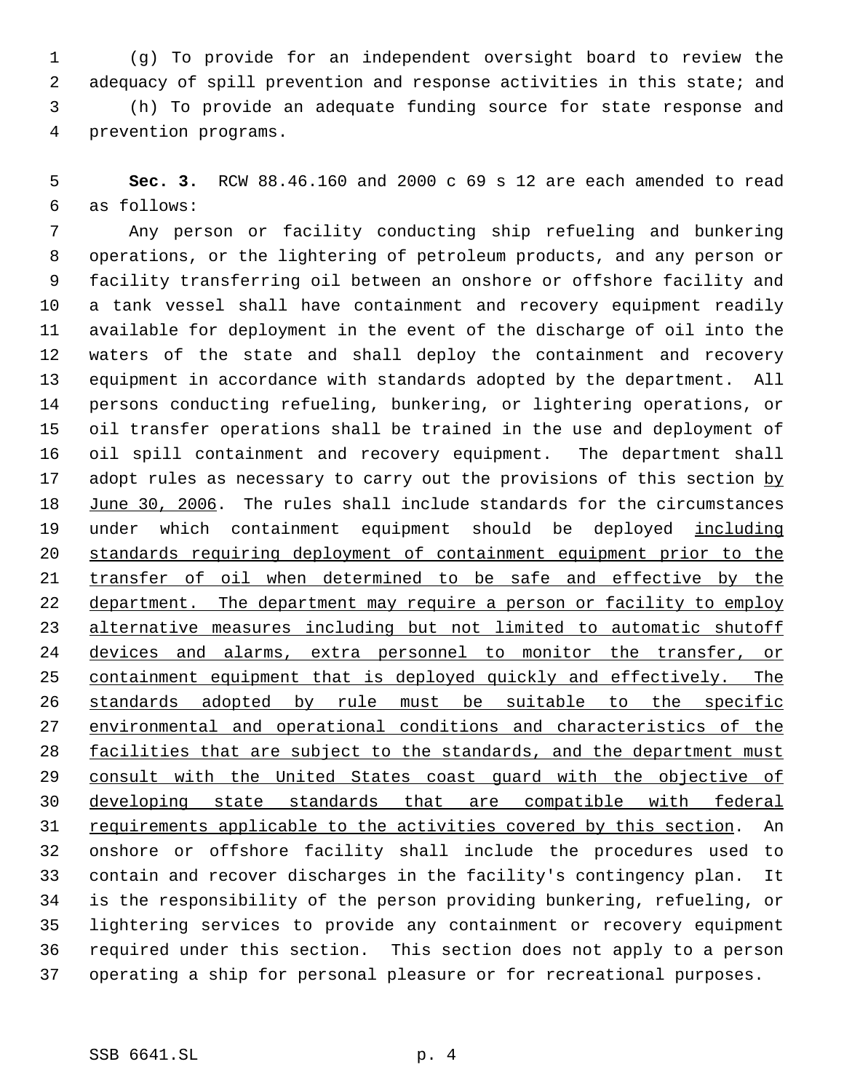(g) To provide for an independent oversight board to review the adequacy of spill prevention and response activities in this state; and (h) To provide an adequate funding source for state response and prevention programs.

 **Sec. 3.** RCW 88.46.160 and 2000 c 69 s 12 are each amended to read as follows:

 Any person or facility conducting ship refueling and bunkering operations, or the lightering of petroleum products, and any person or facility transferring oil between an onshore or offshore facility and a tank vessel shall have containment and recovery equipment readily available for deployment in the event of the discharge of oil into the waters of the state and shall deploy the containment and recovery equipment in accordance with standards adopted by the department. All persons conducting refueling, bunkering, or lightering operations, or oil transfer operations shall be trained in the use and deployment of oil spill containment and recovery equipment. The department shall 17 adopt rules as necessary to carry out the provisions of this section by June 30, 2006. The rules shall include standards for the circumstances 19 under which containment equipment should be deployed including standards requiring deployment of containment equipment prior to the 21 transfer of oil when determined to be safe and effective by the 22 department. The department may require a person or facility to employ alternative measures including but not limited to automatic shutoff devices and alarms, extra personnel to monitor the transfer, or 25 containment equipment that is deployed quickly and effectively. The standards adopted by rule must be suitable to the specific environmental and operational conditions and characteristics of the facilities that are subject to the standards, and the department must 29 consult with the United States coast guard with the objective of developing state standards that are compatible with federal requirements applicable to the activities covered by this section. An onshore or offshore facility shall include the procedures used to contain and recover discharges in the facility's contingency plan. It is the responsibility of the person providing bunkering, refueling, or lightering services to provide any containment or recovery equipment required under this section. This section does not apply to a person operating a ship for personal pleasure or for recreational purposes.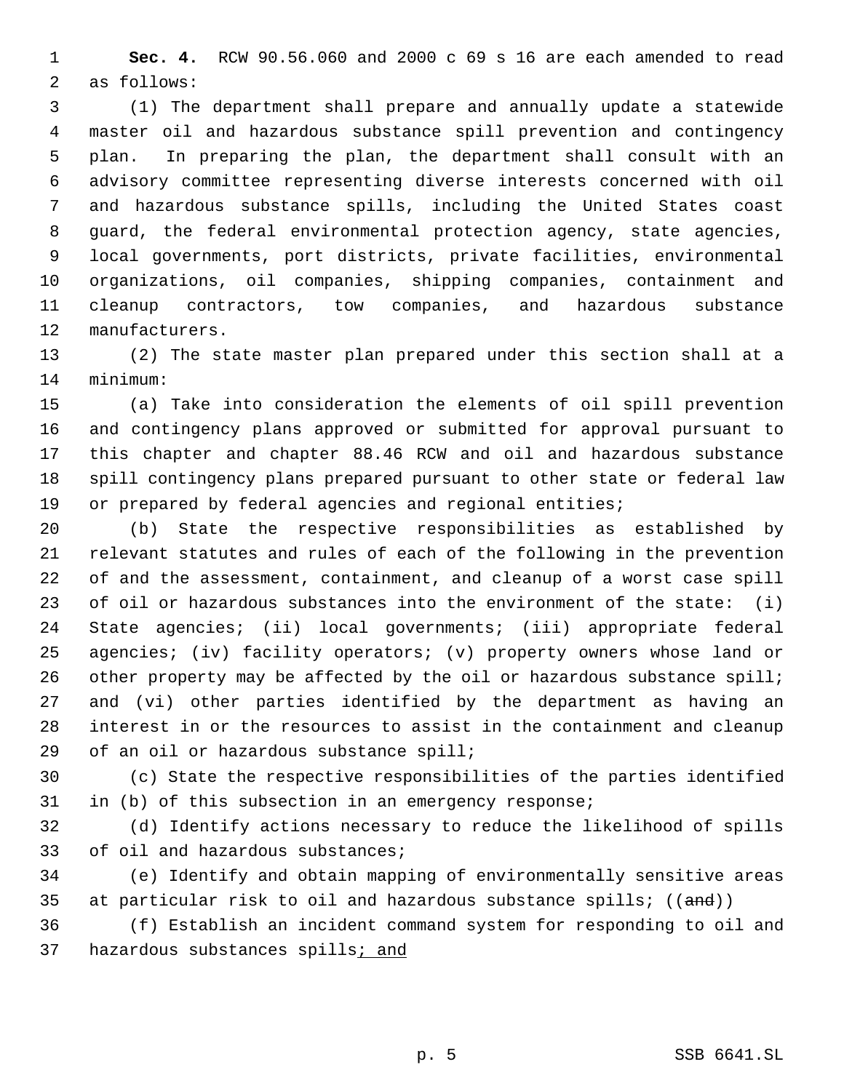**Sec. 4.** RCW 90.56.060 and 2000 c 69 s 16 are each amended to read as follows:

 (1) The department shall prepare and annually update a statewide master oil and hazardous substance spill prevention and contingency plan. In preparing the plan, the department shall consult with an advisory committee representing diverse interests concerned with oil and hazardous substance spills, including the United States coast guard, the federal environmental protection agency, state agencies, local governments, port districts, private facilities, environmental organizations, oil companies, shipping companies, containment and cleanup contractors, tow companies, and hazardous substance manufacturers.

 (2) The state master plan prepared under this section shall at a minimum:

 (a) Take into consideration the elements of oil spill prevention and contingency plans approved or submitted for approval pursuant to this chapter and chapter 88.46 RCW and oil and hazardous substance spill contingency plans prepared pursuant to other state or federal law or prepared by federal agencies and regional entities;

 (b) State the respective responsibilities as established by relevant statutes and rules of each of the following in the prevention of and the assessment, containment, and cleanup of a worst case spill of oil or hazardous substances into the environment of the state: (i) State agencies; (ii) local governments; (iii) appropriate federal agencies; (iv) facility operators; (v) property owners whose land or 26 other property may be affected by the oil or hazardous substance spill; and (vi) other parties identified by the department as having an interest in or the resources to assist in the containment and cleanup 29 of an oil or hazardous substance spill;

 (c) State the respective responsibilities of the parties identified in (b) of this subsection in an emergency response;

 (d) Identify actions necessary to reduce the likelihood of spills 33 of oil and hazardous substances;

 (e) Identify and obtain mapping of environmentally sensitive areas 35 at particular risk to oil and hazardous substance spills;  $((and))$ 

 (f) Establish an incident command system for responding to oil and 37 hazardous substances spills; and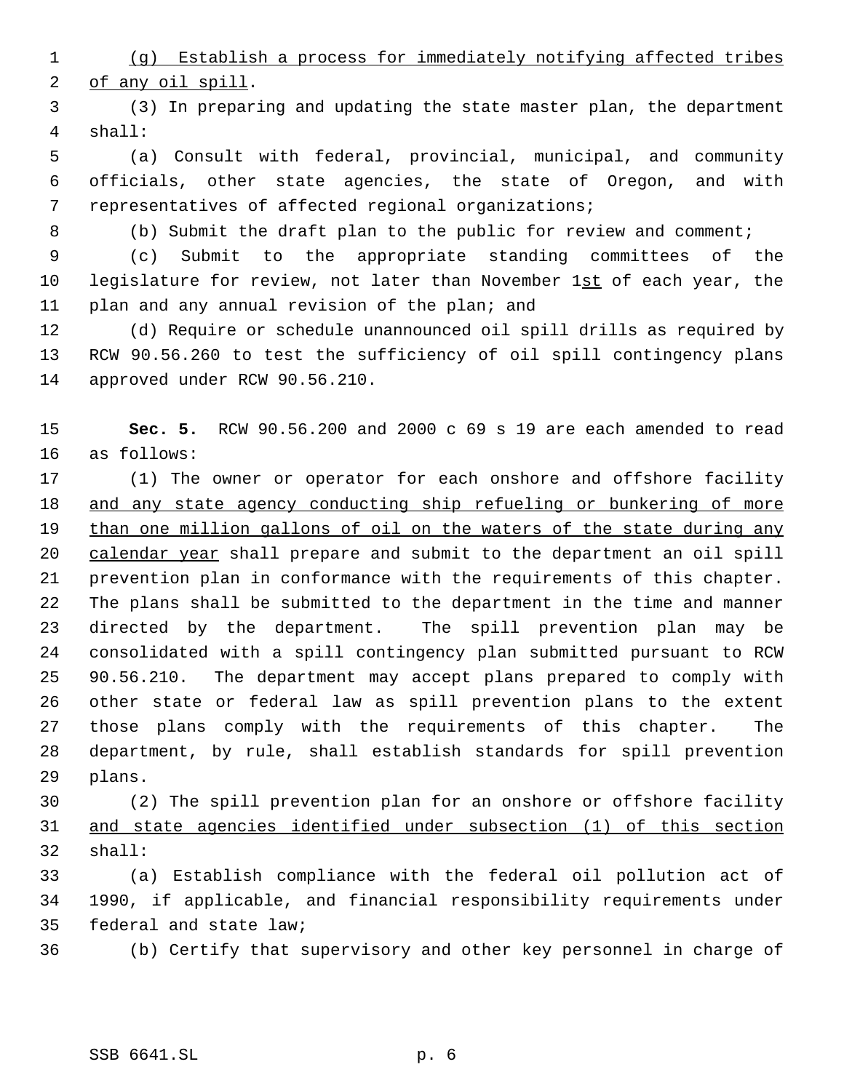(g) Establish a process for immediately notifying affected tribes 2 of any oil spill.

 (3) In preparing and updating the state master plan, the department shall:

 (a) Consult with federal, provincial, municipal, and community officials, other state agencies, the state of Oregon, and with representatives of affected regional organizations;

(b) Submit the draft plan to the public for review and comment;

 (c) Submit to the appropriate standing committees of the 10 legislature for review, not later than November 1st of each year, the plan and any annual revision of the plan; and

 (d) Require or schedule unannounced oil spill drills as required by RCW 90.56.260 to test the sufficiency of oil spill contingency plans approved under RCW 90.56.210.

 **Sec. 5.** RCW 90.56.200 and 2000 c 69 s 19 are each amended to read as follows:

 (1) The owner or operator for each onshore and offshore facility 18 and any state agency conducting ship refueling or bunkering of more 19 than one million gallons of oil on the waters of the state during any 20 calendar year shall prepare and submit to the department an oil spill prevention plan in conformance with the requirements of this chapter. The plans shall be submitted to the department in the time and manner directed by the department. The spill prevention plan may be consolidated with a spill contingency plan submitted pursuant to RCW 90.56.210. The department may accept plans prepared to comply with other state or federal law as spill prevention plans to the extent those plans comply with the requirements of this chapter. The department, by rule, shall establish standards for spill prevention plans.

 (2) The spill prevention plan for an onshore or offshore facility and state agencies identified under subsection (1) of this section shall:

 (a) Establish compliance with the federal oil pollution act of 1990, if applicable, and financial responsibility requirements under federal and state law;

(b) Certify that supervisory and other key personnel in charge of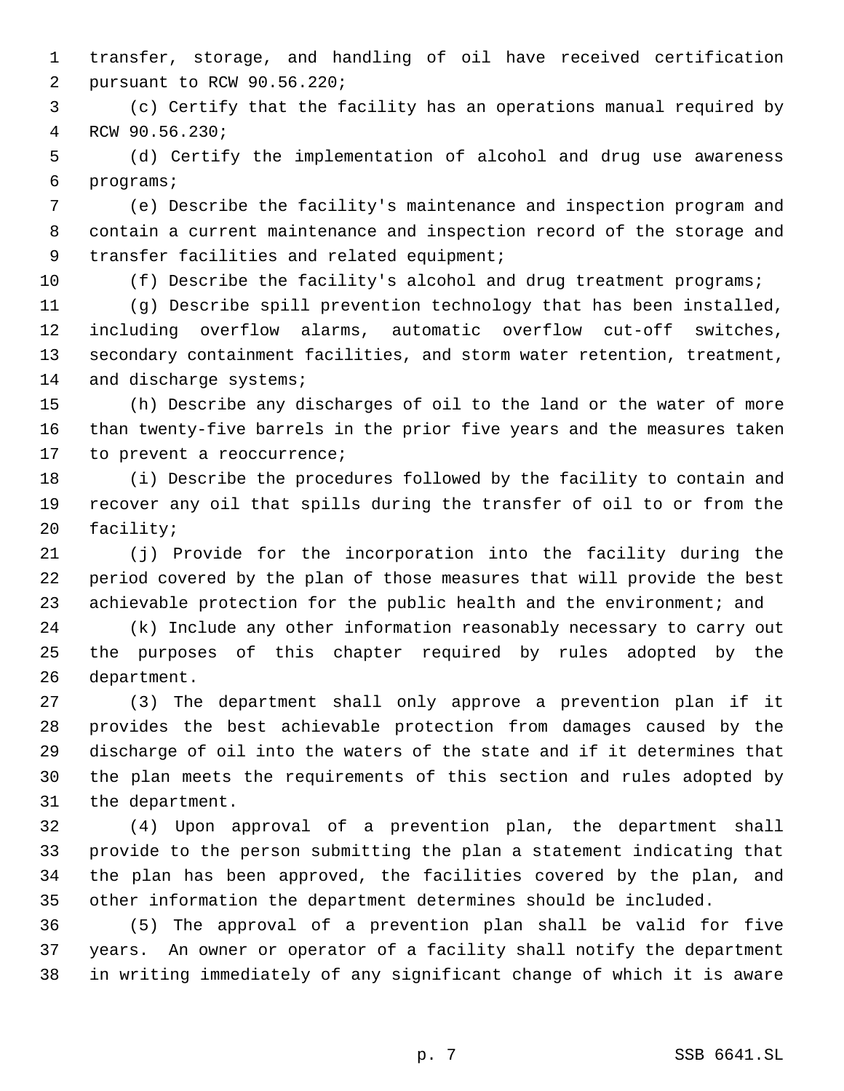transfer, storage, and handling of oil have received certification pursuant to RCW 90.56.220;

 (c) Certify that the facility has an operations manual required by RCW 90.56.230;

 (d) Certify the implementation of alcohol and drug use awareness programs;

 (e) Describe the facility's maintenance and inspection program and contain a current maintenance and inspection record of the storage and 9 transfer facilities and related equipment;

(f) Describe the facility's alcohol and drug treatment programs;

 (g) Describe spill prevention technology that has been installed, including overflow alarms, automatic overflow cut-off switches, secondary containment facilities, and storm water retention, treatment, 14 and discharge systems;

 (h) Describe any discharges of oil to the land or the water of more than twenty-five barrels in the prior five years and the measures taken to prevent a reoccurrence;

 (i) Describe the procedures followed by the facility to contain and recover any oil that spills during the transfer of oil to or from the facility;

 (j) Provide for the incorporation into the facility during the period covered by the plan of those measures that will provide the best achievable protection for the public health and the environment; and

 (k) Include any other information reasonably necessary to carry out the purposes of this chapter required by rules adopted by the department.

 (3) The department shall only approve a prevention plan if it provides the best achievable protection from damages caused by the discharge of oil into the waters of the state and if it determines that the plan meets the requirements of this section and rules adopted by the department.

 (4) Upon approval of a prevention plan, the department shall provide to the person submitting the plan a statement indicating that the plan has been approved, the facilities covered by the plan, and other information the department determines should be included.

 (5) The approval of a prevention plan shall be valid for five years. An owner or operator of a facility shall notify the department in writing immediately of any significant change of which it is aware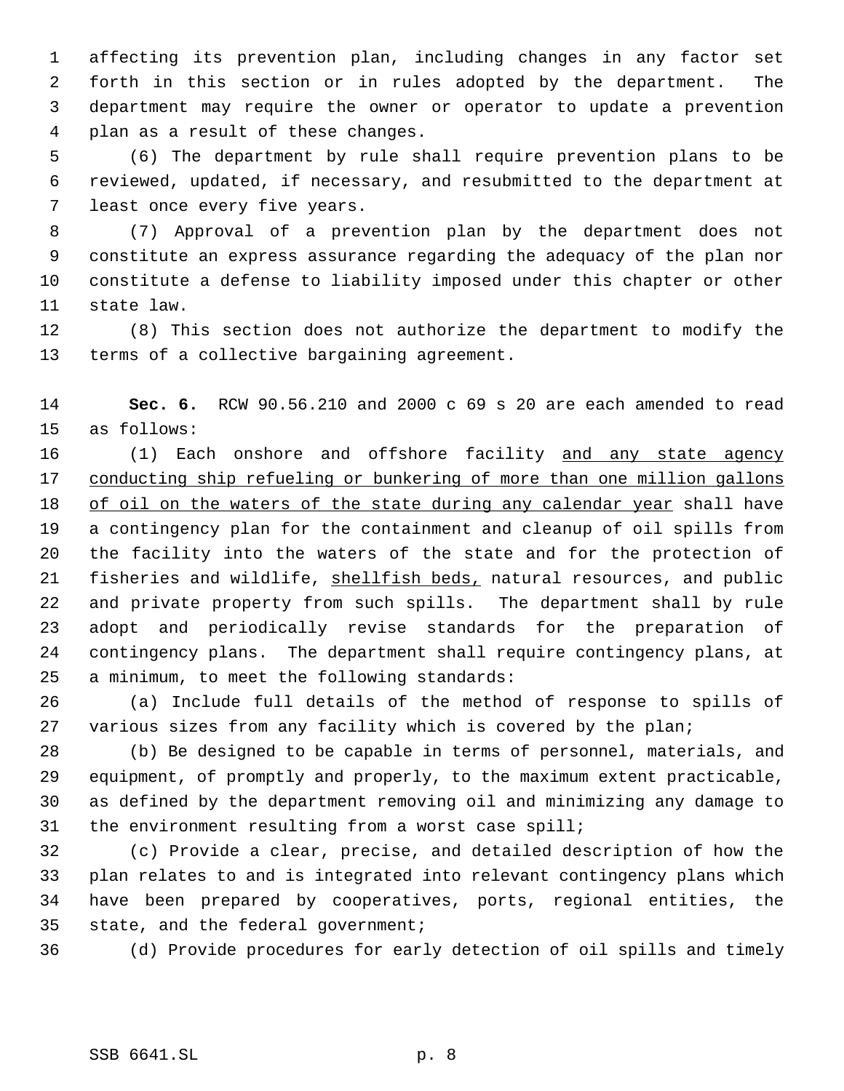affecting its prevention plan, including changes in any factor set forth in this section or in rules adopted by the department. The department may require the owner or operator to update a prevention plan as a result of these changes.

 (6) The department by rule shall require prevention plans to be reviewed, updated, if necessary, and resubmitted to the department at least once every five years.

 (7) Approval of a prevention plan by the department does not constitute an express assurance regarding the adequacy of the plan nor constitute a defense to liability imposed under this chapter or other state law.

 (8) This section does not authorize the department to modify the terms of a collective bargaining agreement.

 **Sec. 6.** RCW 90.56.210 and 2000 c 69 s 20 are each amended to read as follows:

16 (1) Each onshore and offshore facility and any state agency 17 conducting ship refueling or bunkering of more than one million gallons 18 of oil on the waters of the state during any calendar year shall have a contingency plan for the containment and cleanup of oil spills from the facility into the waters of the state and for the protection of 21 fisheries and wildlife, shellfish beds, natural resources, and public and private property from such spills. The department shall by rule adopt and periodically revise standards for the preparation of contingency plans. The department shall require contingency plans, at a minimum, to meet the following standards:

 (a) Include full details of the method of response to spills of various sizes from any facility which is covered by the plan;

 (b) Be designed to be capable in terms of personnel, materials, and equipment, of promptly and properly, to the maximum extent practicable, as defined by the department removing oil and minimizing any damage to the environment resulting from a worst case spill;

 (c) Provide a clear, precise, and detailed description of how the plan relates to and is integrated into relevant contingency plans which have been prepared by cooperatives, ports, regional entities, the state, and the federal government;

(d) Provide procedures for early detection of oil spills and timely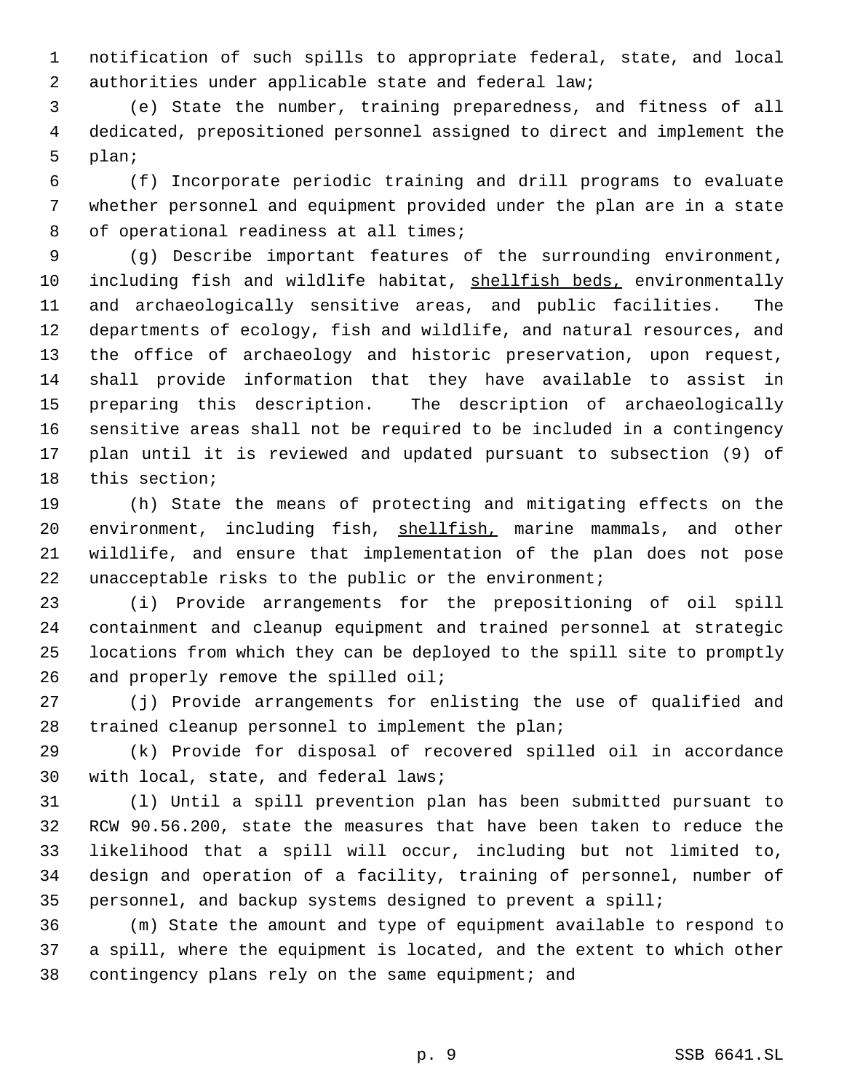notification of such spills to appropriate federal, state, and local authorities under applicable state and federal law;

 (e) State the number, training preparedness, and fitness of all dedicated, prepositioned personnel assigned to direct and implement the plan;

 (f) Incorporate periodic training and drill programs to evaluate whether personnel and equipment provided under the plan are in a state of operational readiness at all times;

 (g) Describe important features of the surrounding environment, 10 including fish and wildlife habitat, shellfish beds, environmentally and archaeologically sensitive areas, and public facilities. The departments of ecology, fish and wildlife, and natural resources, and the office of archaeology and historic preservation, upon request, shall provide information that they have available to assist in preparing this description. The description of archaeologically sensitive areas shall not be required to be included in a contingency plan until it is reviewed and updated pursuant to subsection (9) of this section;

 (h) State the means of protecting and mitigating effects on the 20 environment, including fish, shellfish, marine mammals, and other wildlife, and ensure that implementation of the plan does not pose unacceptable risks to the public or the environment;

 (i) Provide arrangements for the prepositioning of oil spill containment and cleanup equipment and trained personnel at strategic locations from which they can be deployed to the spill site to promptly 26 and properly remove the spilled oil;

 (j) Provide arrangements for enlisting the use of qualified and trained cleanup personnel to implement the plan;

 (k) Provide for disposal of recovered spilled oil in accordance with local, state, and federal laws;

 (l) Until a spill prevention plan has been submitted pursuant to RCW 90.56.200, state the measures that have been taken to reduce the likelihood that a spill will occur, including but not limited to, design and operation of a facility, training of personnel, number of personnel, and backup systems designed to prevent a spill;

 (m) State the amount and type of equipment available to respond to a spill, where the equipment is located, and the extent to which other 38 contingency plans rely on the same equipment; and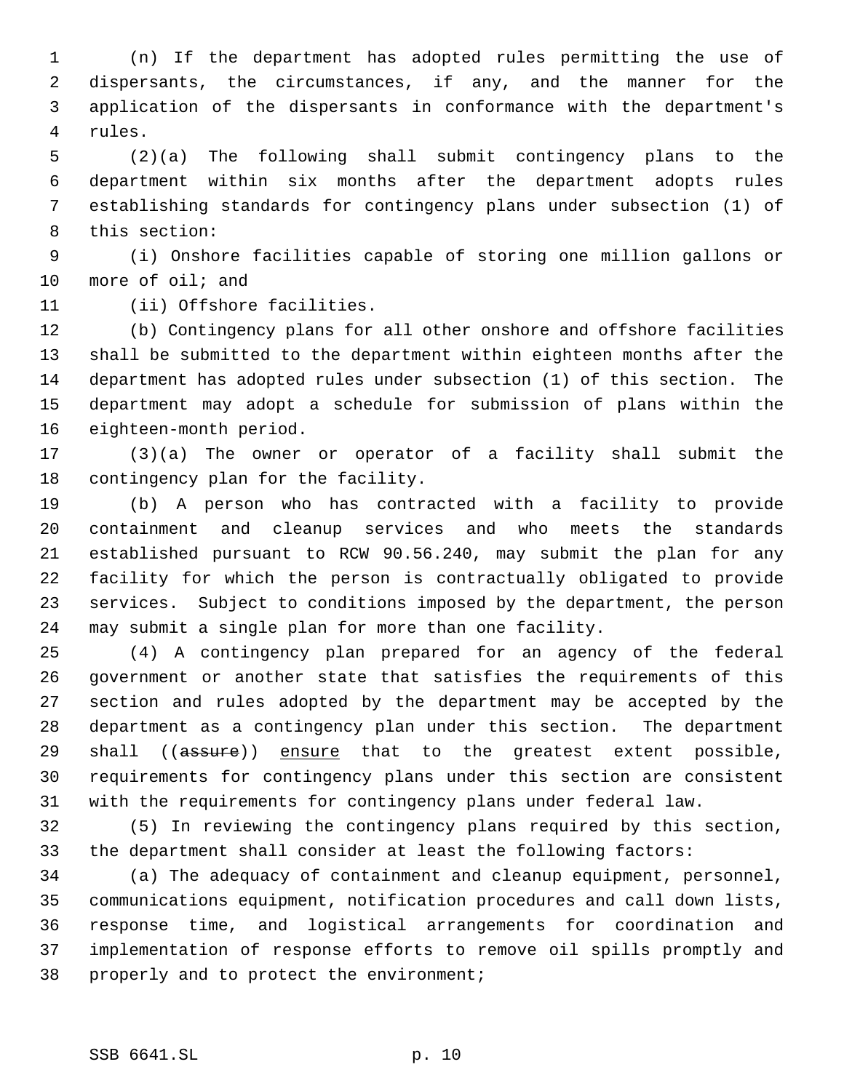(n) If the department has adopted rules permitting the use of dispersants, the circumstances, if any, and the manner for the application of the dispersants in conformance with the department's rules.

 (2)(a) The following shall submit contingency plans to the department within six months after the department adopts rules establishing standards for contingency plans under subsection (1) of this section:

 (i) Onshore facilities capable of storing one million gallons or more of oil; and

(ii) Offshore facilities.

 (b) Contingency plans for all other onshore and offshore facilities shall be submitted to the department within eighteen months after the department has adopted rules under subsection (1) of this section. The department may adopt a schedule for submission of plans within the eighteen-month period.

 (3)(a) The owner or operator of a facility shall submit the contingency plan for the facility.

 (b) A person who has contracted with a facility to provide containment and cleanup services and who meets the standards established pursuant to RCW 90.56.240, may submit the plan for any facility for which the person is contractually obligated to provide services. Subject to conditions imposed by the department, the person may submit a single plan for more than one facility.

 (4) A contingency plan prepared for an agency of the federal government or another state that satisfies the requirements of this section and rules adopted by the department may be accepted by the department as a contingency plan under this section. The department 29 shall ((assure)) ensure that to the greatest extent possible, requirements for contingency plans under this section are consistent with the requirements for contingency plans under federal law.

 (5) In reviewing the contingency plans required by this section, the department shall consider at least the following factors:

 (a) The adequacy of containment and cleanup equipment, personnel, communications equipment, notification procedures and call down lists, response time, and logistical arrangements for coordination and implementation of response efforts to remove oil spills promptly and properly and to protect the environment;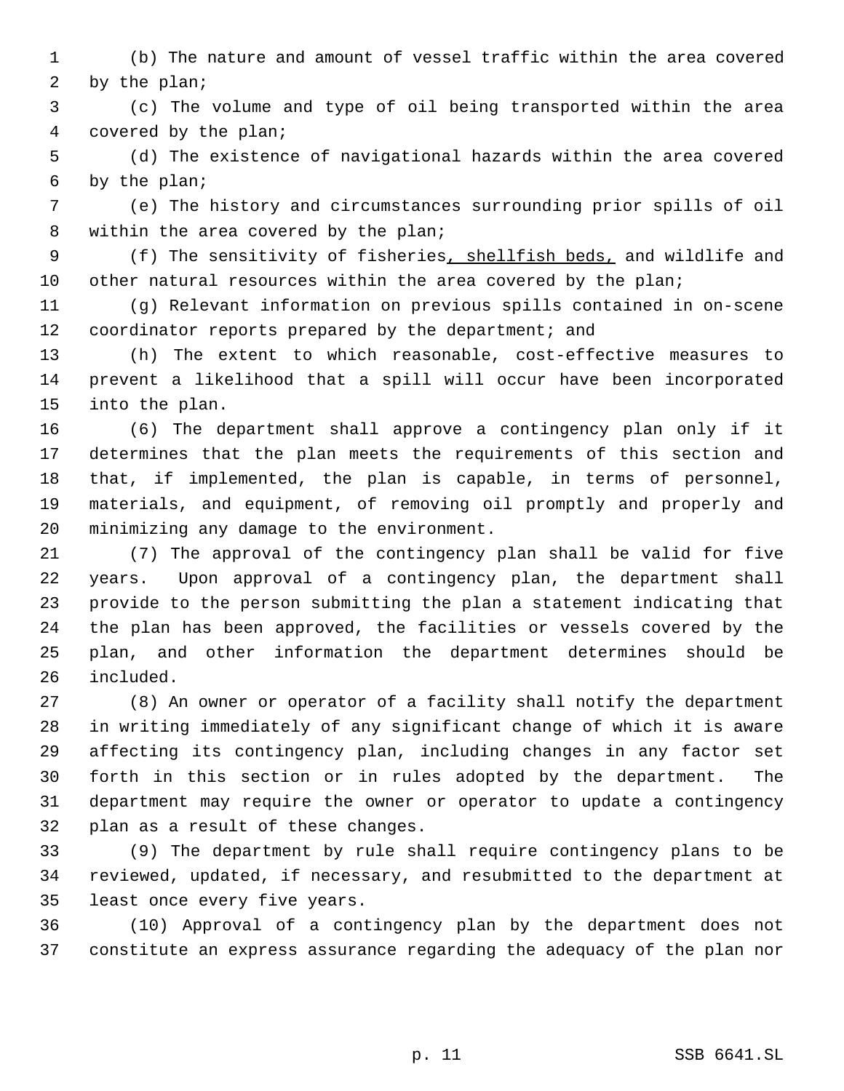(b) The nature and amount of vessel traffic within the area covered by the plan;

 (c) The volume and type of oil being transported within the area covered by the plan;

 (d) The existence of navigational hazards within the area covered by the plan;

 (e) The history and circumstances surrounding prior spills of oil within the area covered by the plan;

 (f) The sensitivity of fisheries, shellfish beds, and wildlife and 10 other natural resources within the area covered by the plan;

 (g) Relevant information on previous spills contained in on-scene 12 coordinator reports prepared by the department; and

 (h) The extent to which reasonable, cost-effective measures to prevent a likelihood that a spill will occur have been incorporated into the plan.

 (6) The department shall approve a contingency plan only if it determines that the plan meets the requirements of this section and that, if implemented, the plan is capable, in terms of personnel, materials, and equipment, of removing oil promptly and properly and minimizing any damage to the environment.

 (7) The approval of the contingency plan shall be valid for five years. Upon approval of a contingency plan, the department shall provide to the person submitting the plan a statement indicating that the plan has been approved, the facilities or vessels covered by the plan, and other information the department determines should be included.

 (8) An owner or operator of a facility shall notify the department in writing immediately of any significant change of which it is aware affecting its contingency plan, including changes in any factor set forth in this section or in rules adopted by the department. The department may require the owner or operator to update a contingency plan as a result of these changes.

 (9) The department by rule shall require contingency plans to be reviewed, updated, if necessary, and resubmitted to the department at least once every five years.

 (10) Approval of a contingency plan by the department does not constitute an express assurance regarding the adequacy of the plan nor